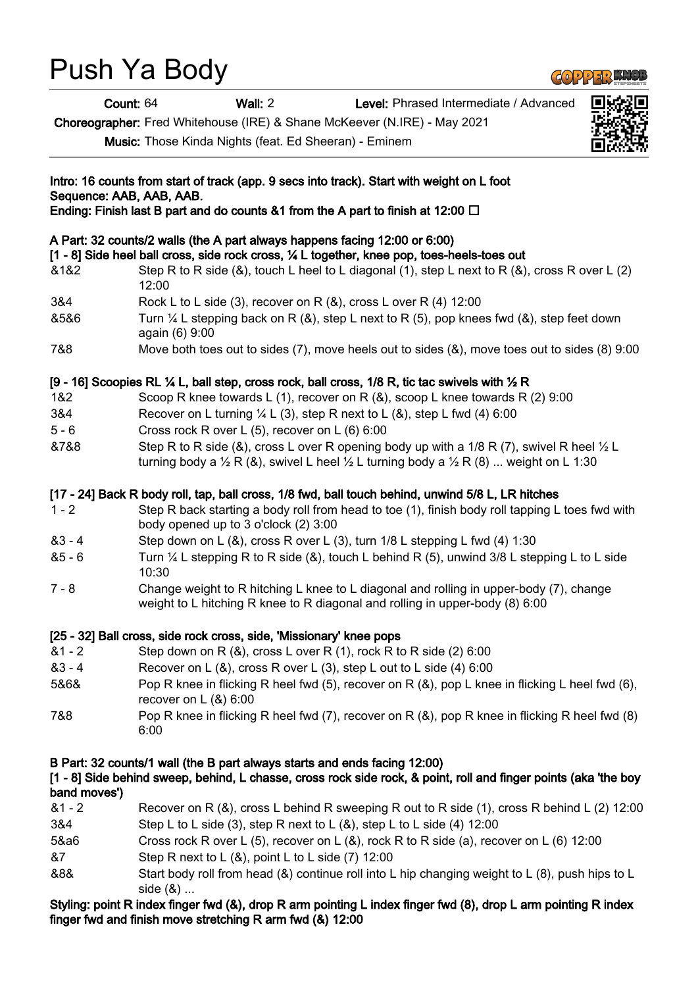# Push Ya Body

Count: 64 Wall: 2 Level: Phrased Intermediate / Advanced

Choreographer: Fred Whitehouse (IRE) & Shane McKeever (N.IRE) - May 2021

Music: Those Kinda Nights (feat. Ed Sheeran) - Eminem

| Intro: 16 counts from start of track (app. 9 secs into track). Start with weight on L foot<br>Sequence: AAB, AAB, AAB.<br>Ending: Finish last B part and do counts &1 from the A part to finish at 12:00 $\Box$ |                                                                                                                                                                                                                      |
|-----------------------------------------------------------------------------------------------------------------------------------------------------------------------------------------------------------------|----------------------------------------------------------------------------------------------------------------------------------------------------------------------------------------------------------------------|
|                                                                                                                                                                                                                 |                                                                                                                                                                                                                      |
| 3&4                                                                                                                                                                                                             | Rock L to L side (3), recover on R $(8)$ , cross L over R $(4)$ 12:00                                                                                                                                                |
| 8586                                                                                                                                                                                                            | Turn $\frac{1}{4}$ L stepping back on R (&), step L next to R (5), pop knees fwd (&), step feet down<br>again (6) 9:00                                                                                               |
| 7&8                                                                                                                                                                                                             | Move both toes out to sides $(7)$ , move heels out to sides $(8)$ , move toes out to sides $(8)$ 9:00                                                                                                                |
|                                                                                                                                                                                                                 | [9 - 16] Scoopies RL ¼ L, ball step, cross rock, ball cross, 1/8 R, tic tac swivels with ½ R                                                                                                                         |
| 1&2                                                                                                                                                                                                             | Scoop R knee towards L (1), recover on R $(8)$ , scoop L knee towards R (2) 9:00                                                                                                                                     |
| 3&4                                                                                                                                                                                                             | Recover on L turning $\frac{1}{4}$ L (3), step R next to L (&), step L fwd (4) 6:00                                                                                                                                  |
| $5 - 6$                                                                                                                                                                                                         | Cross rock R over L (5), recover on L (6) 6:00                                                                                                                                                                       |
| &7&8                                                                                                                                                                                                            | Step R to R side (&), cross L over R opening body up with a 1/8 R (7), swivel R heel 1/2 L<br>turning body a $\frac{1}{2}$ R (&), swivel L heel $\frac{1}{2}$ L turning body a $\frac{1}{2}$ R (8)  weight on L 1:30 |
|                                                                                                                                                                                                                 | [17 - 24] Back R body roll, tap, ball cross, 1/8 fwd, ball touch behind, unwind 5/8 L, LR hitches                                                                                                                    |
| $1 - 2$                                                                                                                                                                                                         | Step R back starting a body roll from head to toe (1), finish body roll tapping L toes fwd with<br>body opened up to 3 o'clock (2) 3:00                                                                              |
| $83 - 4$                                                                                                                                                                                                        | Step down on L (&), cross R over L (3), turn 1/8 L stepping L fwd (4) 1:30                                                                                                                                           |
| $85 - 6$                                                                                                                                                                                                        | Turn $\frac{1}{4}$ L stepping R to R side (&), touch L behind R (5), unwind 3/8 L stepping L to L side<br>10:30                                                                                                      |
| $7 - 8$                                                                                                                                                                                                         | Change weight to R hitching L knee to L diagonal and rolling in upper-body (7), change<br>weight to L hitching R knee to R diagonal and rolling in upper-body (8) 6:00                                               |
|                                                                                                                                                                                                                 | [25 - 32] Ball cross, side rock cross, side, 'Missionary' knee pops                                                                                                                                                  |
| $81 - 2$                                                                                                                                                                                                        | Step down on R (&), cross L over R (1), rock R to R side (2) 6:00                                                                                                                                                    |
| $83 - 4$                                                                                                                                                                                                        | Recover on L (&), cross R over L (3), step L out to L side (4) 6:00                                                                                                                                                  |
| 5&6&                                                                                                                                                                                                            | Pop R knee in flicking R heel fwd (5), recover on R (&), pop L knee in flicking L heel fwd (6),<br>recover on $L(8)$ 6:00                                                                                            |
| 7&8                                                                                                                                                                                                             | Pop R knee in flicking R heel fwd (7), recover on R (&), pop R knee in flicking R heel fwd (8)<br>6:00                                                                                                               |
| band moves')                                                                                                                                                                                                    | B Part: 32 counts/1 wall (the B part always starts and ends facing 12:00)<br>[1 - 8] Side behind sweep, behind, L chasse, cross rock side rock, & point, roll and finger points (aka 'the boy                        |
| $81 - 2$<br>3&4                                                                                                                                                                                                 | Recover on R (&), cross L behind R sweeping R out to R side (1), cross R behind L (2) 12:00<br>Step L to L side (3), step R next to L $(8)$ , step L to L side (4) 12:00                                             |

- 5&a6 Cross rock R over L (5), recover on L (&), rock R to R side (a), recover on L (6) 12:00
- &7 Step R next to L (&), point L to L side (7) 12:00
- &8& Start body roll from head (&) continue roll into L hip changing weight to L (8), push hips to L side (&) ...

# Styling: point R index finger fwd (&), drop R arm pointing L index finger fwd (8), drop L arm pointing R index finger fwd and finish move stretching R arm fwd (&) 12:00